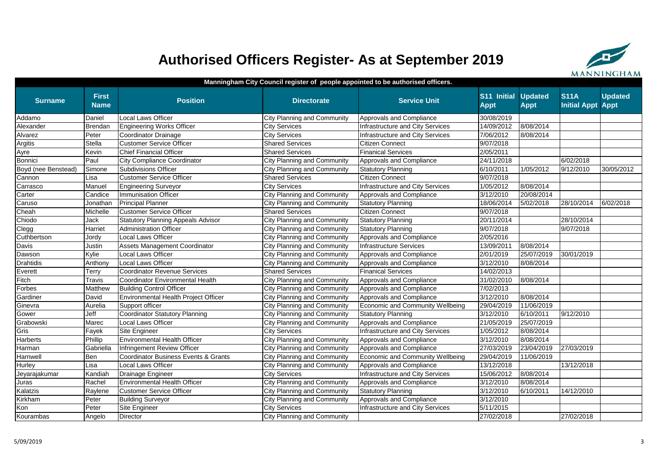# **Authorised Officers Register- As at September 2019**



### **Manningham City Council register of people appointed to be authorised officers.**

| <b>Surname</b>      | <b>First</b><br><b>Name</b> | <b>Position</b>                                 | <b>Directorate</b>                 | <b>Service Unit</b>              | S11 Initial<br><b>Appt</b> | <b>Updated</b><br><b>Appt</b> | <b>S11A</b><br><b>Initial Appt</b> | <b>Updated</b><br><b>Appt</b> |
|---------------------|-----------------------------|-------------------------------------------------|------------------------------------|----------------------------------|----------------------------|-------------------------------|------------------------------------|-------------------------------|
| Addamo              | Daniel                      | Local Laws Officer                              | City Planning and Community        | Approvals and Compliance         | 30/08/2019                 |                               |                                    |                               |
| Alexander           | Brendan                     | <b>Engineering Works Officer</b>                | <b>City Services</b>               | Infrastructure and City Services | 14/09/2012                 | 8/08/2014                     |                                    |                               |
| Alvarez             | Peter                       | Coordinator Drainage                            | <b>City Services</b>               | Infrastructure and City Services | 7/06/2012                  | 8/08/2014                     |                                    |                               |
| Argitis             | Stella                      | <b>Customer Service Officer</b>                 | <b>Shared Services</b>             | Citizen Connect                  | 9/07/2018                  |                               |                                    |                               |
| Ayre                | Kevin                       | <b>Chief Financial Officer</b>                  | <b>Shared Services</b>             | <b>Finanical Services</b>        | 2/05/2011                  |                               |                                    |                               |
| Bonnici             | Paul                        | City Compliance Coordinator                     | City Planning and Community        | Approvals and Compliance         | 24/11/2018                 |                               | 6/02/2018                          |                               |
| Boyd (nee Benstead) | Simone                      | Subdivisions Officer                            | City Planning and Community        | <b>Statutory Planning</b>        | 6/10/2011                  | 1/05/2012                     | 9/12/2010                          | 30/05/2012                    |
| Cannon              | Lisa                        | <b>Customer Service Officer</b>                 | <b>Shared Services</b>             | <b>Citizen Connect</b>           | 9/07/2018                  |                               |                                    |                               |
| Carrasco            | Manuel                      | <b>Engineering Surveyor</b>                     | <b>City Services</b>               | Infrastructure and City Services | 1/05/2012                  | 8/08/2014                     |                                    |                               |
| Carter              | Candice                     | <b>Immunisation Officer</b>                     | <b>City Planning and Community</b> | Approvals and Compliance         | 3/12/2010                  | 20/08/2014                    |                                    |                               |
| Caruso              | Jonathan                    | <b>Principal Planner</b>                        | City Planning and Community        | <b>Statutory Planning</b>        | 18/06/2014                 | 5/02/2018                     | 28/10/2014                         | 6/02/2018                     |
| Cheah               | Michelle                    | <b>Customer Service Officer</b>                 | <b>Shared Services</b>             | <b>Citizen Connect</b>           | 9/07/2018                  |                               |                                    |                               |
| Chiodo              | Jack                        | <b>Statutory Planning Appeals Advisor</b>       | <b>City Planning and Community</b> | <b>Statutory Planning</b>        | 20/11/2014                 |                               | 28/10/2014                         |                               |
| Clegg               | Harriet                     | <b>Administration Officer</b>                   | <b>City Planning and Community</b> | <b>Statutory Planning</b>        | 9/07/2018                  |                               | 9/07/2018                          |                               |
| Cuthbertson         | Jordy                       | <b>Local Laws Officer</b>                       | City Planning and Community        | Approvals and Compliance         | 2/05/2016                  |                               |                                    |                               |
| Davis               | Justin                      | Assets Management Coordinator                   | <b>City Planning and Community</b> | Infrastructure Services          | 13/09/2011                 | 8/08/2014                     |                                    |                               |
| Dawson              | Kylie                       | Local Laws Officer                              | City Planning and Community        | Approvals and Compliance         | 2/01/2019                  | 25/07/2019                    | 30/01/2019                         |                               |
| Drahtidis           | Anthony                     | <b>Local Laws Officer</b>                       | <b>City Planning and Community</b> | Approvals and Compliance         | 3/12/2010                  | 8/08/2014                     |                                    |                               |
| Everett             | Terry                       | <b>Coordinator Revenue Services</b>             | <b>Shared Services</b>             | <b>Finanical Services</b>        | 14/02/2013                 |                               |                                    |                               |
| Fitch               | Travis                      | Coordinator Environmental Health                | <b>City Planning and Community</b> | Approvals and Compliance         | 31/02/2010                 | 8/08/2014                     |                                    |                               |
| Forbes              | Matthew                     | <b>Building Control Officer</b>                 | City Planning and Community        | Approvals and Compliance         | 7/02/2013                  |                               |                                    |                               |
| Gardiner            | David                       | Environmental Health Project Officer            | City Planning and Community        | Approvals and Compliance         | 3/12/2010                  | 8/08/2014                     |                                    |                               |
| Ginevra             | Aurelia                     | Support officer                                 | <b>City Planning and Community</b> | Economic and Community Wellbeing | 29/04/2019                 | 11/06/2019                    |                                    |                               |
| Gower               | Jeff                        | <b>Coordinator Statutory Planning</b>           | City Planning and Community        | <b>Statutory Planning</b>        | 3/12/2010                  | 6/10/2011                     | 9/12/2010                          |                               |
| Grabowski           | Marec                       | Local Laws Officer                              | City Planning and Community        | Approvals and Compliance         | 21/05/2019                 | 25/07/2019                    |                                    |                               |
| Gris                | Fayek                       | Site Engineer                                   | <b>City Services</b>               | Infrastructure and City Services | 1/05/2012                  | 8/08/2014                     |                                    |                               |
| <b>Harberts</b>     | Phillip                     | <b>Environmental Health Officer</b>             | <b>City Planning and Community</b> | Approvals and Compliance         | 3/12/2010                  | 8/08/2014                     |                                    |                               |
| Harman              | Gabriella                   | Infringement Review Officer                     | <b>City Planning and Community</b> | Approvals and Compliance         | 27/03/2019                 | 23/04/2019                    | 27/03/2019                         |                               |
| Harnwell            | Ben                         | <b>Coordinator Business Events &amp; Grants</b> | City Planning and Community        | Economic and Community Wellbeing | 29/04/2019                 | 11/06/2019                    |                                    |                               |
| Hurley              | Lisa                        | Local Laws Officer                              | <b>City Planning and Community</b> | Approvals and Compliance         | 13/12/2018                 |                               | 13/12/2018                         |                               |
| Jeyarajakumar       | Kandiah                     | Drainage Engineer                               | <b>City Services</b>               | Infrastructure and City Services | 15/06/2012                 | 8/08/2014                     |                                    |                               |
| Juras               | Rachel                      | Environmental Health Officer                    | <b>City Planning and Community</b> | Approvals and Compliance         | 3/12/2010                  | 8/08/2014                     |                                    |                               |
| Kalatzis            | Raylene                     | <b>Customer Service Officer</b>                 | City Planning and Community        | <b>Statutory Planning</b>        | 3/12/2010                  | 6/10/2011                     | 14/12/2010                         |                               |
| Kirkham             | Peter                       | <b>Building Surveyor</b>                        | City Planning and Community        | Approvals and Compliance         | 3/12/2010                  |                               |                                    |                               |
| Kon                 | Peter                       | Site Engineer                                   | <b>City Services</b>               | Infrastructure and City Services | 5/11/2015                  |                               |                                    |                               |
| Kourambas           | Angelo                      | <b>Director</b>                                 | City Planning and Community        |                                  | 27/02/2018                 |                               | 27/02/2018                         |                               |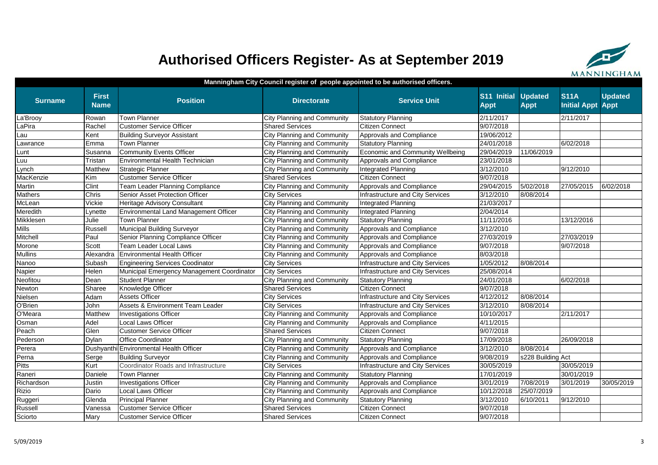# **Authorised Officers Register- As at September 2019**



### **Manningham City Council register of people appointed to be authorised officers.**

| <b>Surname</b> | <b>First</b><br><b>Name</b> | <b>Position</b>                              | <b>Directorate</b>                 | <b>Service Unit</b>              | S11 Initial<br><b>Appt</b> | <b>Updated</b><br><b>Appt</b> | <b>S11A</b><br><b>Initial Appt Appt</b> | <b>Updated</b> |
|----------------|-----------------------------|----------------------------------------------|------------------------------------|----------------------------------|----------------------------|-------------------------------|-----------------------------------------|----------------|
| La'Brooy       | Rowan                       | <b>Town Planner</b>                          | City Planning and Community        | <b>Statutory Planning</b>        | 2/11/2017                  |                               | 2/11/2017                               |                |
| LaPira         | Rachel                      | <b>Customer Service Officer</b>              | <b>Shared Services</b>             | <b>Citizen Connect</b>           | 9/07/2018                  |                               |                                         |                |
| Lau            | Kent                        | <b>Building Surveyor Assistant</b>           | City Planning and Community        | Approvals and Compliance         | 19/06/2012                 |                               |                                         |                |
| Lawrance       | Emma                        | <b>Town Planner</b>                          | <b>City Planning and Community</b> | <b>Statutory Planning</b>        | 24/01/2018                 |                               | 6/02/2018                               |                |
| Lunt           | Susanna                     | Community Events Officer                     | <b>City Planning and Community</b> | Economic and Community Wellbeing | 29/04/2019                 | 11/06/2019                    |                                         |                |
| Luu            | Tristan                     | <b>Environmental Health Technician</b>       | <b>City Planning and Community</b> | Approvals and Compliance         | 23/01/2018                 |                               |                                         |                |
| Lynch          | Matthew                     | Strategic Planner                            | <b>City Planning and Community</b> | Integrated Planning              | 3/12/2010                  |                               | 9/12/2010                               |                |
| MacKenzie      | Kim                         | <b>Customer Service Officer</b>              | <b>Shared Services</b>             | <b>Citizen Connect</b>           | 9/07/2018                  |                               |                                         |                |
| Martin         | Clint                       | Team Leader Planning Compliance              | City Planning and Community        | Approvals and Compliance         | 29/04/2015                 | 5/02/2018                     | 27/05/2015                              | 6/02/2018      |
| Mathers        | Chris                       | Senior Asset Protection Officer              | <b>City Services</b>               | Infrastructure and City Services | 3/12/2010                  | 8/08/2014                     |                                         |                |
| McLean         | Vickie                      | <b>Heritage Advisory Consultant</b>          | <b>City Planning and Community</b> | Integrated Planning              | 21/03/2017                 |                               |                                         |                |
| Meredith       | Lynette                     | <b>Environmental Land Management Officer</b> | <b>City Planning and Community</b> | Integrated Planning              | 2/04/2014                  |                               |                                         |                |
| Mikklesen      | Julie                       | <b>Town Planner</b>                          | <b>City Planning and Community</b> | <b>Statutory Planning</b>        | 11/11/2016                 |                               | 13/12/2016                              |                |
| <b>Mills</b>   | Russell                     | Municipal Building Surveyor                  | City Planning and Community        | Approvals and Compliance         | 3/12/2010                  |                               |                                         |                |
| Mitchell       | Paul                        | Senior Planning Compliance Officer           | <b>City Planning and Community</b> | Approvals and Compliance         | 27/03/2019                 |                               | 27/03/2019                              |                |
| Morone         | Scott                       | Team Leader Local Laws                       | <b>City Planning and Community</b> | Approvals and Compliance         | 9/07/2018                  |                               | 9/07/2018                               |                |
| <b>Mullins</b> | Alexandra                   | Environmental Health Officer                 | <b>City Planning and Community</b> | Approvals and Compliance         | 8/03/2018                  |                               |                                         |                |
| Nanoo          | Subash                      | Engineering Services Coodinator              | <b>City Services</b>               | Infrastructure and City Services | 1/05/2012                  | 8/08/2014                     |                                         |                |
| Napier         | Helen                       | Municipal Emergency Management Coordinator   | <b>City Services</b>               | Infrastructure and City Services | 25/08/2014                 |                               |                                         |                |
| Neofitou       | Dean                        | <b>Student Planner</b>                       | <b>City Planning and Community</b> | <b>Statutory Planning</b>        | 24/01/2018                 |                               | 6/02/2018                               |                |
| Newton         | Sharee                      | Knowledge Officer                            | <b>Shared Services</b>             | <b>Citizen Connect</b>           | 9/07/2018                  |                               |                                         |                |
| Nielsen        | Adam                        | <b>Assets Officer</b>                        | <b>City Services</b>               | Infrastructure and City Services | 4/12/2012                  | 8/08/2014                     |                                         |                |
| O'Brien        | John                        | Assets & Environment Team Leader             | <b>City Services</b>               | Infrastructure and City Services | 3/12/2010                  | 8/08/2014                     |                                         |                |
| O'Meara        | Matthew                     | Investigations Officer                       | <b>City Planning and Community</b> | Approvals and Compliance         | 10/10/2017                 |                               | 2/11/2017                               |                |
| Osman          | Adel                        | <b>Local Laws Officer</b>                    | City Planning and Community        | Approvals and Compliance         | 4/11/2015                  |                               |                                         |                |
| Peach          | Glen                        | <b>Customer Service Officer</b>              | <b>Shared Services</b>             | <b>Citizen Connect</b>           | 9/07/2018                  |                               |                                         |                |
| Pederson       | Dylan                       | <b>Office Coordinator</b>                    | <b>City Planning and Community</b> | <b>Statutory Planning</b>        | 17/09/2018                 |                               | 26/09/2018                              |                |
| Perera         |                             | Dushyanthi Environmental Health Officer      | <b>City Planning and Community</b> | Approvals and Compliance         | 3/12/2010                  | 8/08/2014                     |                                         |                |
| Perna          | Serge                       | <b>Building Surveyor</b>                     | City Planning and Community        | Approvals and Compliance         | 9/08/2019                  | s228 Building Act             |                                         |                |
| Pitts          | Kurt                        | Coordinator Roads and Infrastructure         | <b>City Services</b>               | Infrastructure and City Services | 30/05/2019                 |                               | 30/05/2019                              |                |
| Raneri         | Daniele                     | <b>Town Planner</b>                          | <b>City Planning and Community</b> | <b>Statutory Planning</b>        | 17/01/2019                 |                               | 30/01/2019                              |                |
| Richardson     | Justin                      | <b>Investigations Officer</b>                | <b>City Planning and Community</b> | <b>Approvals and Compliance</b>  | 3/01/2019                  | 7/08/2019                     | 3/01/2019                               | 30/05/2019     |
| <b>Rizio</b>   | Dario                       | Local Laws Officer                           | <b>City Planning and Community</b> | Approvals and Compliance         | 10/12/2018                 | 25/07/2019                    |                                         |                |
| Ruggeri        | Glenda                      | <b>Principal Planner</b>                     | <b>City Planning and Community</b> | <b>Statutory Planning</b>        | 3/12/2010                  | 6/10/2011                     | 9/12/2010                               |                |
| Russell        | Vanessa                     | <b>Customer Service Officer</b>              | <b>Shared Services</b>             | Citizen Connect                  | 9/07/2018                  |                               |                                         |                |
| Sciorto        | Mary                        | <b>Customer Service Officer</b>              | <b>Shared Services</b>             | <b>Citizen Connect</b>           | 9/07/2018                  |                               |                                         |                |